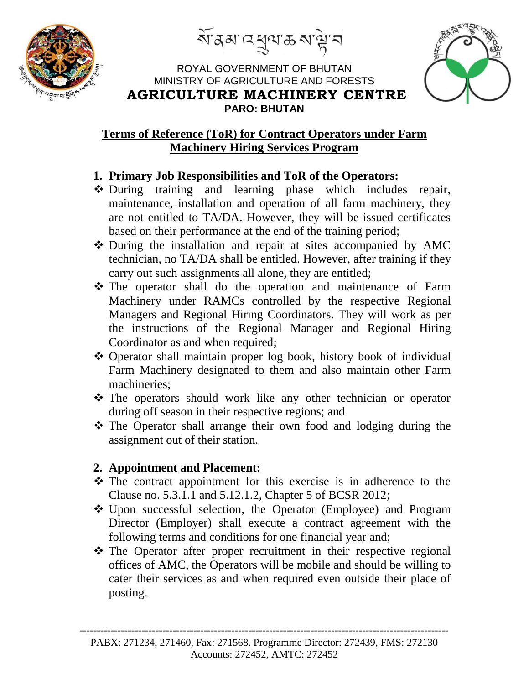

<u>ৰ্থা</u> ব্ৰুত্মীয় ৰাজ্য ব





### **Terms of Reference (ToR) for Contract Operators under Farm Machinery Hiring Services Program**

## **1. Primary Job Responsibilities and ToR of the Operators:**

- During training and learning phase which includes repair, maintenance, installation and operation of all farm machinery, they are not entitled to TA/DA. However, they will be issued certificates based on their performance at the end of the training period;
- During the installation and repair at sites accompanied by AMC technician, no TA/DA shall be entitled. However, after training if they carry out such assignments all alone, they are entitled;
- The operator shall do the operation and maintenance of Farm Machinery under RAMCs controlled by the respective Regional Managers and Regional Hiring Coordinators. They will work as per the instructions of the Regional Manager and Regional Hiring Coordinator as and when required;
- Operator shall maintain proper log book, history book of individual Farm Machinery designated to them and also maintain other Farm machineries;
- The operators should work like any other technician or operator during off season in their respective regions; and
- The Operator shall arrange their own food and lodging during the assignment out of their station.

### **2. Appointment and Placement:**

- The contract appointment for this exercise is in adherence to the Clause no. 5.3.1.1 and 5.12.1.2, Chapter 5 of BCSR 2012;
- Upon successful selection, the Operator (Employee) and Program Director (Employer) shall execute a contract agreement with the following terms and conditions for one financial year and;
- The Operator after proper recruitment in their respective regional offices of AMC, the Operators will be mobile and should be willing to cater their services as and when required even outside their place of posting.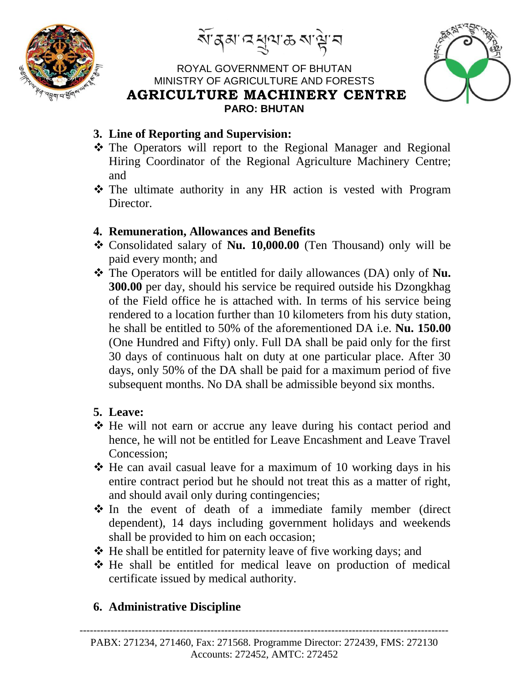

<u>ৰ্থা</u> ব্ৰুত্মীয় ৰাজ্য ব

### ROYAL GOVERNMENT OF BHUTAN MINISTRY OF AGRICULTURE AND FORESTS **AGRICULTURE MACHINERY CENTRE PARO: BHUTAN**



- **3. Line of Reporting and Supervision:**
- \* The Operators will report to the Regional Manager and Regional Hiring Coordinator of the Regional Agriculture Machinery Centre; and
- The ultimate authority in any HR action is vested with Program Director
- **4. Remuneration, Allowances and Benefits**
- Consolidated salary of **Nu. 10,000.00** (Ten Thousand) only will be paid every month; and
- \* The Operators will be entitled for daily allowances (DA) only of **Nu. 300.00** per day, should his service be required outside his Dzongkhag of the Field office he is attached with. In terms of his service being rendered to a location further than 10 kilometers from his duty station, he shall be entitled to 50% of the aforementioned DA i.e. **Nu. 150.00** (One Hundred and Fifty) only. Full DA shall be paid only for the first 30 days of continuous halt on duty at one particular place. After 30 days, only 50% of the DA shall be paid for a maximum period of five subsequent months. No DA shall be admissible beyond six months.

# **5. Leave:**

- He will not earn or accrue any leave during his contact period and hence, he will not be entitled for Leave Encashment and Leave Travel Concession;
- $\triangle$  He can avail casual leave for a maximum of 10 working days in his entire contract period but he should not treat this as a matter of right, and should avail only during contingencies;
- In the event of death of a immediate family member (direct dependent), 14 days including government holidays and weekends shall be provided to him on each occasion;
- $\triangle$  He shall be entitled for paternity leave of five working days; and
- He shall be entitled for medical leave on production of medical certificate issued by medical authority.

# **6. Administrative Discipline**